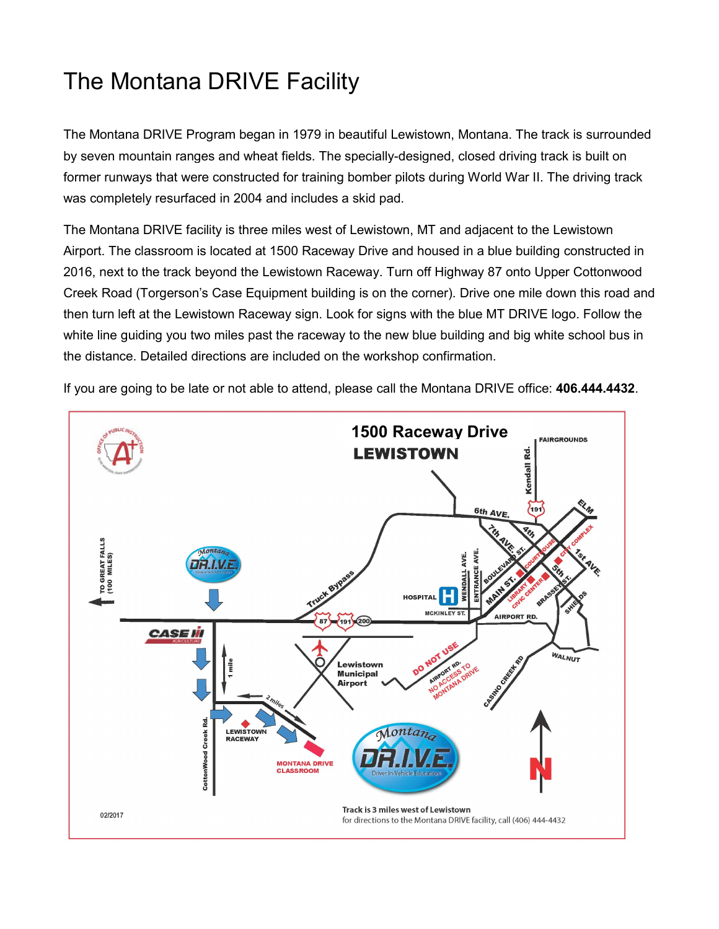## The Montana DRIVE Facility

The Montana DRIVE Program began in 1979 in beautiful Lewistown, Montana. The track is surrounded by seven mountain ranges and wheat fields. The specially-designed, closed driving track is built on former runways that were constructed for training bomber pilots during World War II. The driving track was completely resurfaced in 2004 and includes a skid pad.

The Montana DRIVE facility is three miles west of Lewistown, MT and adjacent to the Lewistown Airport. The classroom is located at 1500 Raceway Drive and housed in a blue building constructed in 2016, next to the track beyond the Lewistown Raceway. Turn off Highway 87 onto Upper Cottonwood Creek Road (Torgerson's Case Equipment building is on the corner). Drive one mile down this road and then turn left at the Lewistown Raceway sign. Look for signs with the blue MT DRIVE logo. Follow the white line guiding you two miles past the raceway to the new blue building and big white school bus in the distance. Detailed directions are included on the workshop confirmation.

If you are going to be late or not able to attend, please call the Montana DRIVE office: **406.444.4432**.